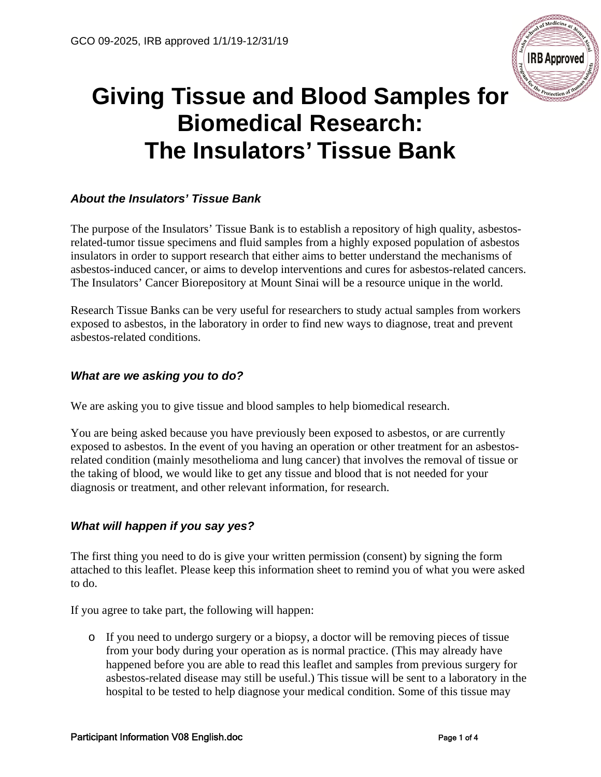

# **Giving Tissue and Blood Samples for Biomedical Research: The Insulators' Tissue Bank**

## *About the Insulators' Tissue Bank*

The purpose of the Insulators' Tissue Bank is to establish a repository of high quality, asbestosrelated-tumor tissue specimens and fluid samples from a highly exposed population of asbestos insulators in order to support research that either aims to better understand the mechanisms of asbestos-induced cancer, or aims to develop interventions and cures for asbestos-related cancers. The Insulators' Cancer Biorepository at Mount Sinai will be a resource unique in the world.

Research Tissue Banks can be very useful for researchers to study actual samples from workers exposed to asbestos, in the laboratory in order to find new ways to diagnose, treat and prevent asbestos-related conditions.

### *What are we asking you to do?*

We are asking you to give tissue and blood samples to help biomedical research.

You are being asked because you have previously been exposed to asbestos, or are currently exposed to asbestos. In the event of you having an operation or other treatment for an asbestosrelated condition (mainly mesothelioma and lung cancer) that involves the removal of tissue or the taking of blood, we would like to get any tissue and blood that is not needed for your diagnosis or treatment, and other relevant information, for research.

#### *What will happen if you say yes?*

The first thing you need to do is give your written permission (consent) by signing the form attached to this leaflet. Please keep this information sheet to remind you of what you were asked to do.

If you agree to take part, the following will happen:

o If you need to undergo surgery or a biopsy, a doctor will be removing pieces of tissue from your body during your operation as is normal practice. (This may already have happened before you are able to read this leaflet and samples from previous surgery for asbestos-related disease may still be useful.) This tissue will be sent to a laboratory in the hospital to be tested to help diagnose your medical condition. Some of this tissue may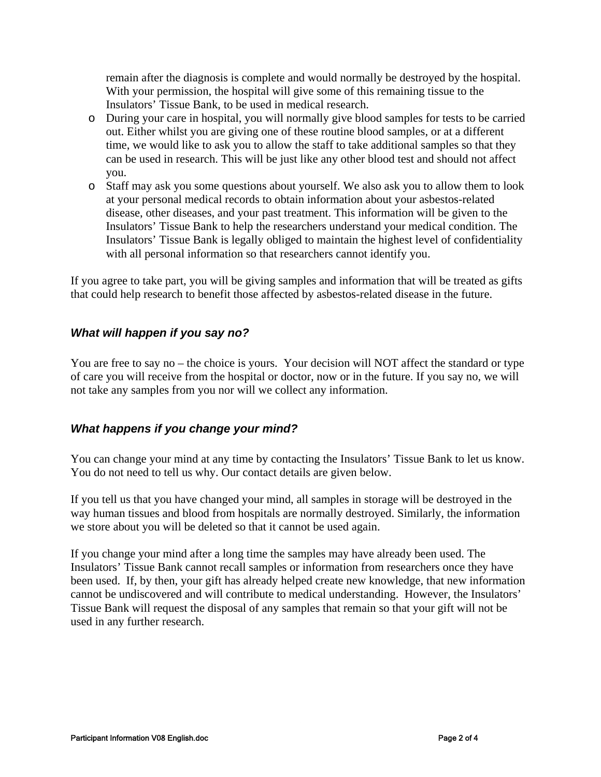remain after the diagnosis is complete and would normally be destroyed by the hospital. With your permission, the hospital will give some of this remaining tissue to the Insulators' Tissue Bank, to be used in medical research.

- o During your care in hospital, you will normally give blood samples for tests to be carried out. Either whilst you are giving one of these routine blood samples, or at a different time, we would like to ask you to allow the staff to take additional samples so that they can be used in research. This will be just like any other blood test and should not affect you.
- o Staff may ask you some questions about yourself. We also ask you to allow them to look at your personal medical records to obtain information about your asbestos-related disease, other diseases, and your past treatment. This information will be given to the Insulators' Tissue Bank to help the researchers understand your medical condition. The Insulators' Tissue Bank is legally obliged to maintain the highest level of confidentiality with all personal information so that researchers cannot identify you.

If you agree to take part, you will be giving samples and information that will be treated as gifts that could help research to benefit those affected by asbestos-related disease in the future.

#### *What will happen if you say no?*

You are free to say no – the choice is yours. Your decision will NOT affect the standard or type of care you will receive from the hospital or doctor, now or in the future. If you say no, we will not take any samples from you nor will we collect any information.

#### *What happens if you change your mind?*

You can change your mind at any time by contacting the Insulators' Tissue Bank to let us know. You do not need to tell us why. Our contact details are given below.

If you tell us that you have changed your mind, all samples in storage will be destroyed in the way human tissues and blood from hospitals are normally destroyed. Similarly, the information we store about you will be deleted so that it cannot be used again.

If you change your mind after a long time the samples may have already been used. The Insulators' Tissue Bank cannot recall samples or information from researchers once they have been used. If, by then, your gift has already helped create new knowledge, that new information cannot be undiscovered and will contribute to medical understanding. However, the Insulators' Tissue Bank will request the disposal of any samples that remain so that your gift will not be used in any further research.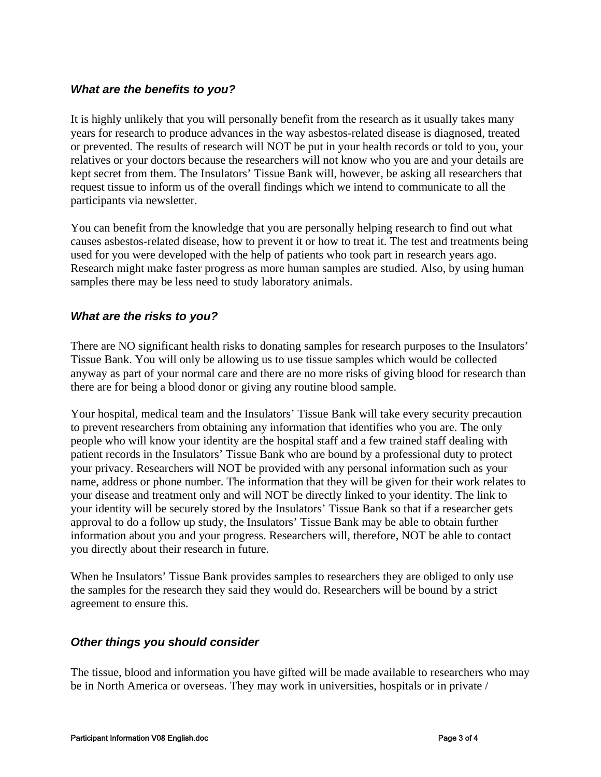#### *What are the benefits to you?*

It is highly unlikely that you will personally benefit from the research as it usually takes many years for research to produce advances in the way asbestos-related disease is diagnosed, treated or prevented. The results of research will NOT be put in your health records or told to you, your relatives or your doctors because the researchers will not know who you are and your details are kept secret from them. The Insulators' Tissue Bank will, however, be asking all researchers that request tissue to inform us of the overall findings which we intend to communicate to all the participants via newsletter.

You can benefit from the knowledge that you are personally helping research to find out what causes asbestos-related disease, how to prevent it or how to treat it. The test and treatments being used for you were developed with the help of patients who took part in research years ago. Research might make faster progress as more human samples are studied. Also, by using human samples there may be less need to study laboratory animals.

#### *What are the risks to you?*

There are NO significant health risks to donating samples for research purposes to the Insulators' Tissue Bank. You will only be allowing us to use tissue samples which would be collected anyway as part of your normal care and there are no more risks of giving blood for research than there are for being a blood donor or giving any routine blood sample.

Your hospital, medical team and the Insulators' Tissue Bank will take every security precaution to prevent researchers from obtaining any information that identifies who you are. The only people who will know your identity are the hospital staff and a few trained staff dealing with patient records in the Insulators' Tissue Bank who are bound by a professional duty to protect your privacy. Researchers will NOT be provided with any personal information such as your name, address or phone number. The information that they will be given for their work relates to your disease and treatment only and will NOT be directly linked to your identity. The link to your identity will be securely stored by the Insulators' Tissue Bank so that if a researcher gets approval to do a follow up study, the Insulators' Tissue Bank may be able to obtain further information about you and your progress. Researchers will, therefore, NOT be able to contact you directly about their research in future.

When he Insulators' Tissue Bank provides samples to researchers they are obliged to only use the samples for the research they said they would do. Researchers will be bound by a strict agreement to ensure this.

#### *Other things you should consider*

The tissue, blood and information you have gifted will be made available to researchers who may be in North America or overseas. They may work in universities, hospitals or in private /